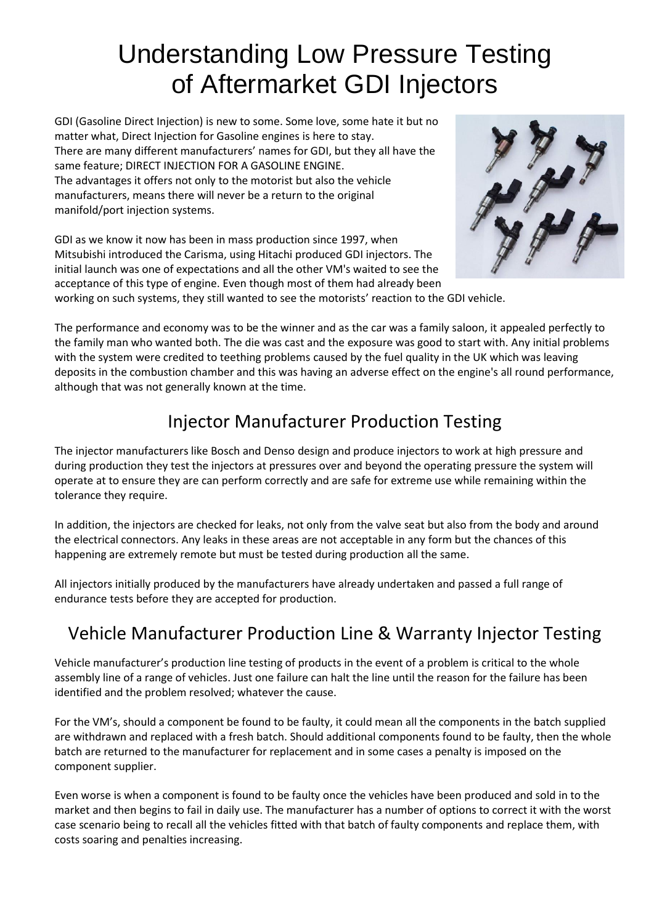# Understanding Low Pressure Testing of Aftermarket GDI Injectors

GDI (Gasoline Direct Injection) is new to some. Some love, some hate it but no matter what, Direct Injection for Gasoline engines is here to stay. There are many different manufacturers' names for GDI, but they all have the same feature; DIRECT INJECTION FOR A GASOLINE ENGINE. The advantages it offers not only to the motorist but also the vehicle manufacturers, means there will never be a return to the original manifold/port injection systems.

GDI as we know it now has been in mass production since 1997, when Mitsubishi introduced the Carisma, using Hitachi produced GDI injectors. The initial launch was one of expectations and all the other VM's waited to see the acceptance of this type of engine. Even though most of them had already been



working on such systems, they still wanted to see the motorists' reaction to the GDI vehicle.

The performance and economy was to be the winner and as the car was a family saloon, it appealed perfectly to the family man who wanted both. The die was cast and the exposure was good to start with. Any initial problems with the system were credited to teething problems caused by the fuel quality in the UK which was leaving deposits in the combustion chamber and this was having an adverse effect on the engine's all round performance, although that was not generally known at the time.

# Injector Manufacturer Production Testing

The injector manufacturers like Bosch and Denso design and produce injectors to work at high pressure and during production they test the injectors at pressures over and beyond the operating pressure the system will operate at to ensure they are can perform correctly and are safe for extreme use while remaining within the tolerance they require.

In addition, the injectors are checked for leaks, not only from the valve seat but also from the body and around the electrical connectors. Any leaks in these areas are not acceptable in any form but the chances of this happening are extremely remote but must be tested during production all the same.

All injectors initially produced by the manufacturers have already undertaken and passed a full range of endurance tests before they are accepted for production.

## Vehicle Manufacturer Production Line & Warranty Injector Testing

Vehicle manufacturer's production line testing of products in the event of a problem is critical to the whole assembly line of a range of vehicles. Just one failure can halt the line until the reason for the failure has been identified and the problem resolved; whatever the cause.

For the VM's, should a component be found to be faulty, it could mean all the components in the batch supplied are withdrawn and replaced with a fresh batch. Should additional components found to be faulty, then the whole batch are returned to the manufacturer for replacement and in some cases a penalty is imposed on the component supplier.

Even worse is when a component is found to be faulty once the vehicles have been produced and sold in to the market and then begins to fail in daily use. The manufacturer has a number of options to correct it with the worst case scenario being to recall all the vehicles fitted with that batch of faulty components and replace them, with costs soaring and penalties increasing.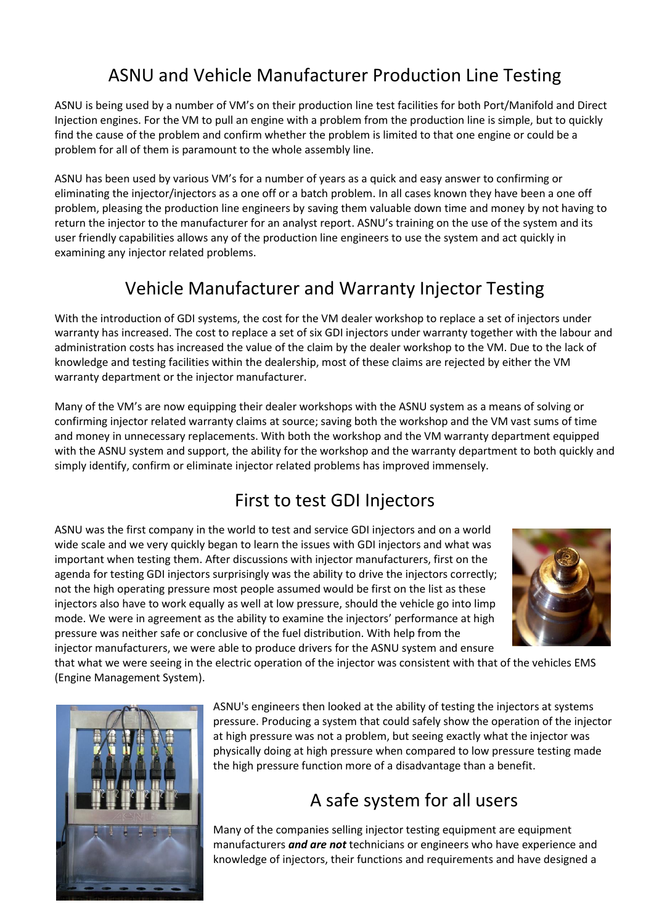# ASNU and Vehicle Manufacturer Production Line Testing

ASNU is being used by a number of VM's on their production line test facilities for both Port/Manifold and Direct Injection engines. For the VM to pull an engine with a problem from the production line is simple, but to quickly find the cause of the problem and confirm whether the problem is limited to that one engine or could be a problem for all of them is paramount to the whole assembly line.

ASNU has been used by various VM's for a number of years as a quick and easy answer to confirming or eliminating the injector/injectors as a one off or a batch problem. In all cases known they have been a one off problem, pleasing the production line engineers by saving them valuable down time and money by not having to return the injector to the manufacturer for an analyst report. ASNU's training on the use of the system and its user friendly capabilities allows any of the production line engineers to use the system and act quickly in examining any injector related problems.

# Vehicle Manufacturer and Warranty Injector Testing

With the introduction of GDI systems, the cost for the VM dealer workshop to replace a set of injectors under warranty has increased. The cost to replace a set of six GDI injectors under warranty together with the labour and administration costs has increased the value of the claim by the dealer workshop to the VM. Due to the lack of knowledge and testing facilities within the dealership, most of these claims are rejected by either the VM warranty department or the injector manufacturer.

Many of the VM's are now equipping their dealer workshops with the ASNU system as a means of solving or confirming injector related warranty claims at source; saving both the workshop and the VM vast sums of time and money in unnecessary replacements. With both the workshop and the VM warranty department equipped with the ASNU system and support, the ability for the workshop and the warranty department to both quickly and simply identify, confirm or eliminate injector related problems has improved immensely.

## First to test GDI Injectors

ASNU was the first company in the world to test and service GDI injectors and on a world wide scale and we very quickly began to learn the issues with GDI injectors and what was important when testing them. After discussions with injector manufacturers, first on the agenda for testing GDI injectors surprisingly was the ability to drive the injectors correctly; not the high operating pressure most people assumed would be first on the list as these injectors also have to work equally as well at low pressure, should the vehicle go into limp mode. We were in agreement as the ability to examine the injectors' performance at high pressure was neither safe or conclusive of the fuel distribution. With help from the injector manufacturers, we were able to produce drivers for the ASNU system and ensure



that what we were seeing in the electric operation of the injector was consistent with that of the vehicles EMS (Engine Management System).



ASNU's engineers then looked at the ability of testing the injectors at systems pressure. Producing a system that could safely show the operation of the injector at high pressure was not a problem, but seeing exactly what the injector was physically doing at high pressure when compared to low pressure testing made the high pressure function more of a disadvantage than a benefit.

# A safe system for all users

Many of the companies selling injector testing equipment are equipment manufacturers *and are not* technicians or engineers who have experience and knowledge of injectors, their functions and requirements and have designed a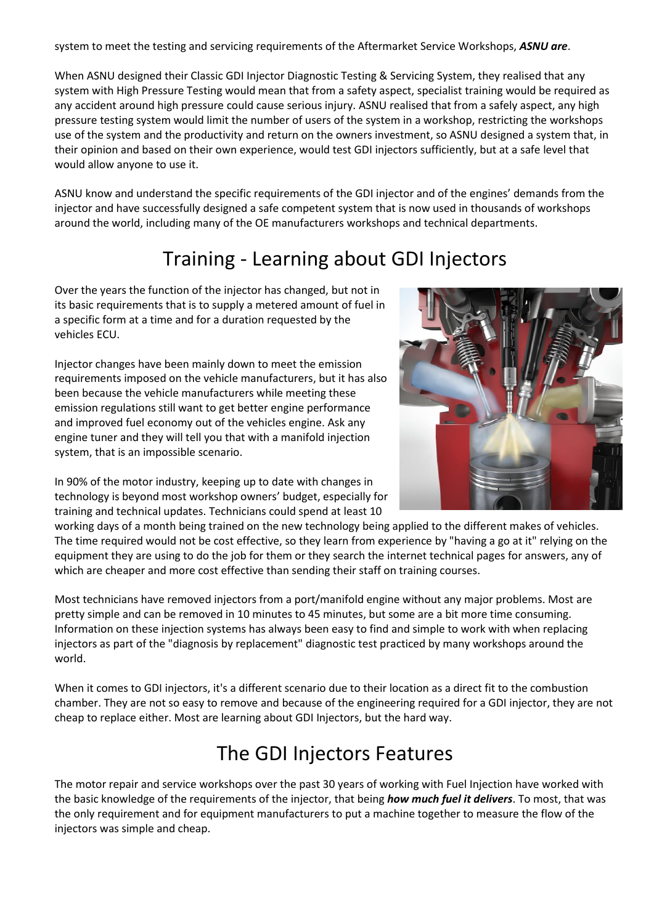system to meet the testing and servicing requirements of the Aftermarket Service Workshops, *ASNU are*.

When ASNU designed their Classic GDI Injector Diagnostic Testing & Servicing System, they realised that any system with High Pressure Testing would mean that from a safety aspect, specialist training would be required as any accident around high pressure could cause serious injury. ASNU realised that from a safely aspect, any high pressure testing system would limit the number of users of the system in a workshop, restricting the workshops use of the system and the productivity and return on the owners investment, so ASNU designed a system that, in their opinion and based on their own experience, would test GDI injectors sufficiently, but at a safe level that would allow anyone to use it.

ASNU know and understand the specific requirements of the GDI injector and of the engines' demands from the injector and have successfully designed a safe competent system that is now used in thousands of workshops around the world, including many of the OE manufacturers workshops and technical departments.

# Training - Learning about GDI Injectors

Over the years the function of the injector has changed, but not in its basic requirements that is to supply a metered amount of fuel in a specific form at a time and for a duration requested by the vehicles ECU.

Injector changes have been mainly down to meet the emission requirements imposed on the vehicle manufacturers, but it has also been because the vehicle manufacturers while meeting these emission regulations still want to get better engine performance and improved fuel economy out of the vehicles engine. Ask any engine tuner and they will tell you that with a manifold injection system, that is an impossible scenario.

In 90% of the motor industry, keeping up to date with changes in technology is beyond most workshop owners' budget, especially for training and technical updates. Technicians could spend at least 10



working days of a month being trained on the new technology being applied to the different makes of vehicles. The time required would not be cost effective, so they learn from experience by "having a go at it" relying on the equipment they are using to do the job for them or they search the internet technical pages for answers, any of which are cheaper and more cost effective than sending their staff on training courses.

Most technicians have removed injectors from a port/manifold engine without any major problems. Most are pretty simple and can be removed in 10 minutes to 45 minutes, but some are a bit more time consuming. Information on these injection systems has always been easy to find and simple to work with when replacing injectors as part of the "diagnosis by replacement" diagnostic test practiced by many workshops around the world.

When it comes to GDI injectors, it's a different scenario due to their location as a direct fit to the combustion chamber. They are not so easy to remove and because of the engineering required for a GDI injector, they are not cheap to replace either. Most are learning about GDI Injectors, but the hard way.

# The GDI Injectors Features

The motor repair and service workshops over the past 30 years of working with Fuel Injection have worked with the basic knowledge of the requirements of the injector, that being *how much fuel it delivers*. To most, that was the only requirement and for equipment manufacturers to put a machine together to measure the flow of the injectors was simple and cheap.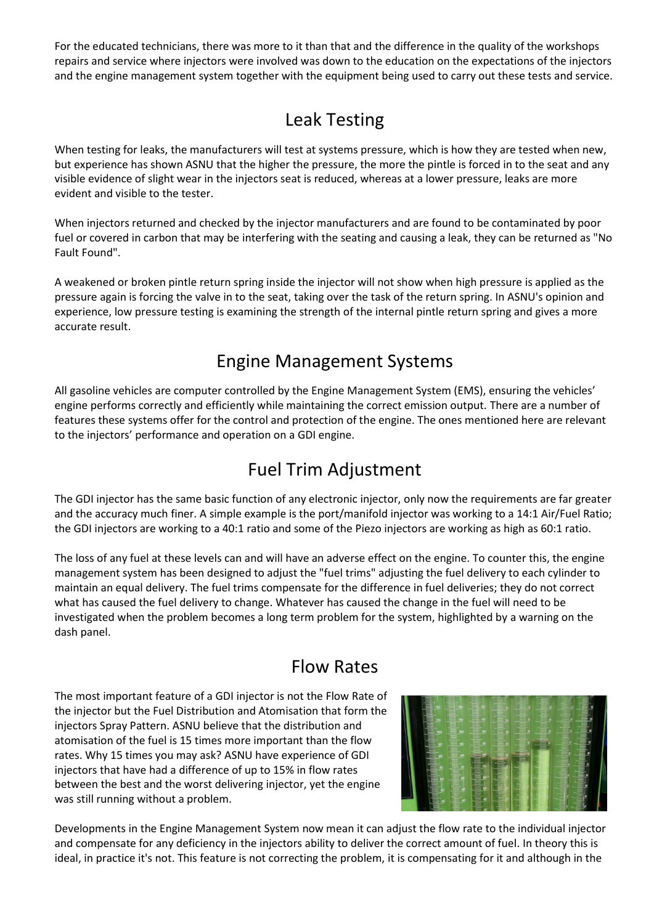For the educated technicians, there was more to it than that and the difference in the quality of the workshops repairs and service where injectors were involved was down to the education on the expectations of the injectors and the engine management system together with the equipment being used to carry out these tests and service.

# Leak Testing

When testing for leaks, the manufacturers will test at systems pressure, which is how they are tested when new, but experience has shown ASNU that the higher the pressure, the more the pintle is forced in to the seat and any visible evidence of slight wear in the injectors seat is reduced, whereas at a lower pressure, leaks are more evident and visible to the tester.

When injectors returned and checked by the injector manufacturers and are found to be contaminated by poor fuel or covered in carbon that may be interfering with the seating and causing a leak, they can be returned as "No Fault Found".

A weakened or broken pintle return spring inside the injector will not show when high pressure is applied as the pressure again is forcing the valve in to the seat, taking over the task of the return spring. In ASNU's opinion and experience, low pressure testing is examining the strength of the internal pintle return spring and gives a more accurate result.

# Engine Management Systems

All gasoline vehicles are computer controlled by the Engine Management System (EMS), ensuring the vehicles' engine performs correctly and efficiently while maintaining the correct emission output. There are a number of features these systems offer for the control and protection of the engine. The ones mentioned here are relevant to the injectors' performance and operation on a GDI engine.

# Fuel Trim Adjustment

The GDI injector has the same basic function of any electronic injector, only now the requirements are far greater and the accuracy much finer. A simple example is the port/manifold injector was working to a 14:1 Air/Fuel Ratio; the GDI injectors are working to a 40:1 ratio and some of the Piezo injectors are working as high as 60:1 ratio.

The loss of any fuel at these levels can and will have an adverse effect on the engine. To counter this, the engine management system has been designed to adjust the "fuel trims" adjusting the fuel delivery to each cylinder to maintain an equal delivery. The fuel trims compensate for the difference in fuel deliveries; they do not correct what has caused the fuel delivery to change. Whatever has caused the change in the fuel will need to be investigated when the problem becomes a long term problem for the system, highlighted by a warning on the dash panel.

### Flow Rates

The most important feature of a GDI injector is not the Flow Rate of the injector but the Fuel Distribution and Atomisation that form the injectors Spray Pattern. ASNU believe that the distribution and atomisation of the fuel is 15 times more important than the flow rates. Why 15 times you may ask? ASNU have experience of GDI injectors that have had a difference of up to 15% in flow rates between the best and the worst delivering injector, yet the engine was still running without a problem.



Developments in the Engine Management System now mean it can adjust the flow rate to the individual injector and compensate for any deficiency in the injectors ability to deliver the correct amount of fuel. In theory this is ideal, in practice it's not. This feature is not correcting the problem, it is compensating for it and although in the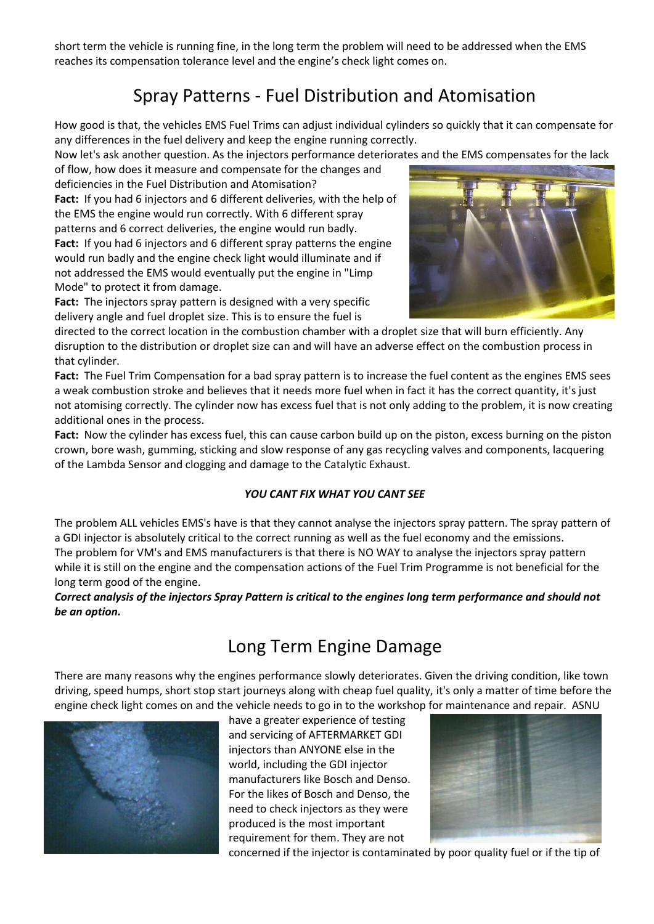short term the vehicle is running fine, in the long term the problem will need to be addressed when the EMS reaches its compensation tolerance level and the engine's check light comes on.

# Spray Patterns - Fuel Distribution and Atomisation

How good is that, the vehicles EMS Fuel Trims can adjust individual cylinders so quickly that it can compensate for any differences in the fuel delivery and keep the engine running correctly.

Now let's ask another question. As the injectors performance deteriorates and the EMS compensates for the lack

of flow, how does it measure and compensate for the changes and deficiencies in the Fuel Distribution and Atomisation?

**Fact:** If you had 6 injectors and 6 different deliveries, with the help of the EMS the engine would run correctly. With 6 different spray patterns and 6 correct deliveries, the engine would run badly. **Fact:** If you had 6 injectors and 6 different spray patterns the engine would run badly and the engine check light would illuminate and if

not addressed the EMS would eventually put the engine in "Limp Mode" to protect it from damage.

**Fact:** The injectors spray pattern is designed with a very specific delivery angle and fuel droplet size. This is to ensure the fuel is



directed to the correct location in the combustion chamber with a droplet size that will burn efficiently. Any disruption to the distribution or droplet size can and will have an adverse effect on the combustion process in that cylinder.

**Fact:** The Fuel Trim Compensation for a bad spray pattern is to increase the fuel content as the engines EMS sees a weak combustion stroke and believes that it needs more fuel when in fact it has the correct quantity, it's just not atomising correctly. The cylinder now has excess fuel that is not only adding to the problem, it is now creating additional ones in the process.

**Fact:** Now the cylinder has excess fuel, this can cause carbon build up on the piston, excess burning on the piston crown, bore wash, gumming, sticking and slow response of any gas recycling valves and components, lacquering of the Lambda Sensor and clogging and damage to the Catalytic Exhaust.

#### *YOU CANT FIX WHAT YOU CANT SEE*

The problem ALL vehicles EMS's have is that they cannot analyse the injectors spray pattern. The spray pattern of a GDI injector is absolutely critical to the correct running as well as the fuel economy and the emissions. The problem for VM's and EMS manufacturers is that there is NO WAY to analyse the injectors spray pattern while it is still on the engine and the compensation actions of the Fuel Trim Programme is not beneficial for the long term good of the engine.

#### *Correct analysis of the injectors Spray Pattern is critical to the engines long term performance and should not be an option.*

### Long Term Engine Damage

There are many reasons why the engines performance slowly deteriorates. Given the driving condition, like town driving, speed humps, short stop start journeys along with cheap fuel quality, it's only a matter of time before the engine check light comes on and the vehicle needs to go in to the workshop for maintenance and repair. ASNU



have a greater experience of testing and servicing of AFTERMARKET GDI injectors than ANYONE else in the world, including the GDI injector manufacturers like Bosch and Denso. For the likes of Bosch and Denso, the need to check injectors as they were produced is the most important requirement for them. They are not



concerned if the injector is contaminated by poor quality fuel or if the tip of